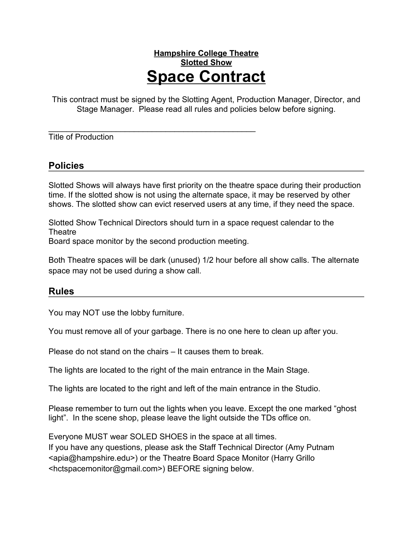## **Hampshire College Theatre Slotted Show Space Contract**

This contract must be signed by the Slotting Agent, Production Manager, Director, and Stage Manager. Please read all rules and policies below before signing.

 $\overline{\phantom{a}}$  , and the contract of the contract of the contract of the contract of the contract of the contract of the contract of the contract of the contract of the contract of the contract of the contract of the contrac Title of Production

## **Policies**

Slotted Shows will always have first priority on the theatre space during their production time. If the slotted show is not using the alternate space, it may be reserved by other shows. The slotted show can evict reserved users at any time, if they need the space.

Slotted Show Technical Directors should turn in a space request calendar to the **Theatre** 

Board space monitor by the second production meeting.

Both Theatre spaces will be dark (unused) 1/2 hour before all show calls. The alternate space may not be used during a show call.

## **Rules**

You may NOT use the lobby furniture.

You must remove all of your garbage. There is no one here to clean up after you.

Please do not stand on the chairs – It causes them to break.

The lights are located to the right of the main entrance in the Main Stage.

The lights are located to the right and left of the main entrance in the Studio.

Please remember to turn out the lights when you leave. Except the one marked "ghost light". In the scene shop, please leave the light outside the TDs office on.

Everyone MUST wear SOLED SHOES in the space at all times. If you have any questions, please ask the Staff Technical Director (Amy Putnam <apia@hampshire.edu>) or the Theatre Board Space Monitor (Harry Grillo <hctspacemonitor@gmail.com>) BEFORE signing below.